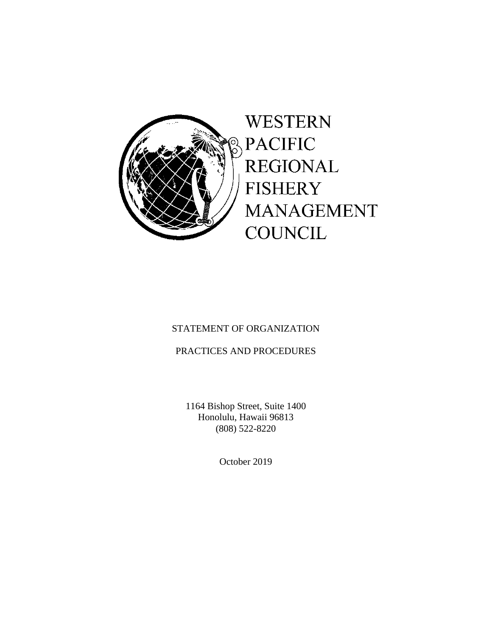

# STATEMENT OF ORGANIZATION

# PRACTICES AND PROCEDURES

 1164 Bishop Street, Suite 1400 Honolulu, Hawaii 96813 (808) 522-8220

October 2019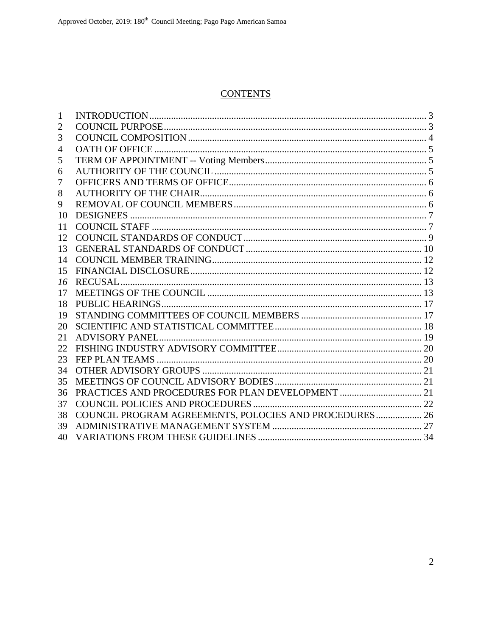# **CONTENTS**

| 1  |                                                        |  |
|----|--------------------------------------------------------|--|
| 2  |                                                        |  |
| 3  |                                                        |  |
| 4  |                                                        |  |
| 5  |                                                        |  |
| 6  |                                                        |  |
| 7  |                                                        |  |
| 8  |                                                        |  |
| 9  |                                                        |  |
| 10 |                                                        |  |
| 11 |                                                        |  |
| 12 |                                                        |  |
| 13 |                                                        |  |
| 14 |                                                        |  |
| 15 |                                                        |  |
| 16 |                                                        |  |
| 17 |                                                        |  |
| 18 |                                                        |  |
| 19 |                                                        |  |
| 20 |                                                        |  |
| 21 |                                                        |  |
| 22 |                                                        |  |
| 23 |                                                        |  |
| 34 |                                                        |  |
| 35 |                                                        |  |
| 36 |                                                        |  |
| 37 |                                                        |  |
| 38 | COUNCIL PROGRAM AGREEMENTS, POLOCIES AND PROCEDURES 26 |  |
| 39 |                                                        |  |
| 40 |                                                        |  |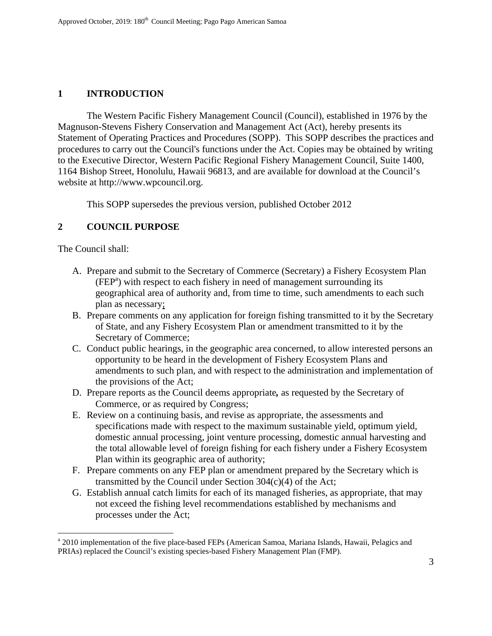# **1 INTRODUCTION**

 The Western Pacific Fishery Management Council (Council), established in 1976 by the Magnuson-Stevens Fishery Conservation and Management Act (Act), hereby presents its Statement of Operating Practices and Procedures (SOPP). This SOPP describes the practices and procedures to carry out the Council's functions under the Act. Copies may be obtained by writing to the Executive Director, Western Pacific Regional Fishery Management Council, Suite 1400, 1164 Bishop Street, Honolulu, Hawaii 96813, and are available for download at the Council's website at http://www.wpcouncil.org.

This SOPP supersedes the previous version, published October 2012

# **2 COUNCIL PURPOSE**

The Council shall:

 $\overline{a}$ 

- A. Prepare and submit to the Secretary of Commerce (Secretary) a Fishery Ecosystem Plan (FEP<sup>a</sup>) with respect to each fishery in need of management surrounding its geographical area of authority and, from time to time, such amendments to each such plan as necessary;
- B. Prepare comments on any application for foreign fishing transmitted to it by the Secretary of State, and any Fishery Ecosystem Plan or amendment transmitted to it by the Secretary of Commerce;
- C. Conduct public hearings, in the geographic area concerned, to allow interested persons an opportunity to be heard in the development of Fishery Ecosystem Plans and amendments to such plan, and with respect to the administration and implementation of the provisions of the Act;
- D. Prepare reports as the Council deems appropriate*,* as requested by the Secretary of Commerce, or as required by Congress;
- E. Review on a continuing basis, and revise as appropriate, the assessments and specifications made with respect to the maximum sustainable yield, optimum yield, domestic annual processing, joint venture processing, domestic annual harvesting and the total allowable level of foreign fishing for each fishery under a Fishery Ecosystem Plan within its geographic area of authority;
- F. Prepare comments on any FEP plan or amendment prepared by the Secretary which is transmitted by the Council under Section 304(c)(4) of the Act;
- G. Establish annual catch limits for each of its managed fisheries, as appropriate, that may not exceed the fishing level recommendations established by mechanisms and processes under the Act;

<sup>&</sup>lt;sup>a</sup> 2010 implementation of the five place-based FEPs (American Samoa, Mariana Islands, Hawaii, Pelagics and PRIAs) replaced the Council's existing species-based Fishery Management Plan (FMP).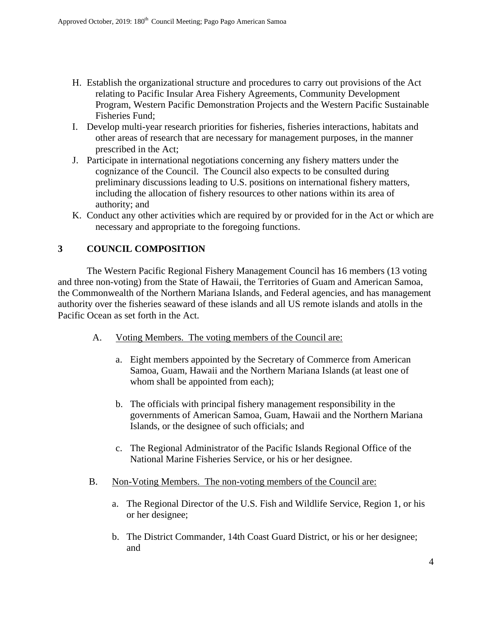- H. Establish the organizational structure and procedures to carry out provisions of the Act relating to Pacific Insular Area Fishery Agreements, Community Development Program, Western Pacific Demonstration Projects and the Western Pacific Sustainable Fisheries Fund;
- I. Develop multi-year research priorities for fisheries, fisheries interactions, habitats and other areas of research that are necessary for management purposes, in the manner prescribed in the Act;
- J. Participate in international negotiations concerning any fishery matters under the cognizance of the Council. The Council also expects to be consulted during preliminary discussions leading to U.S. positions on international fishery matters, including the allocation of fishery resources to other nations within its area of authority; and
- K. Conduct any other activities which are required by or provided for in the Act or which are necessary and appropriate to the foregoing functions.

## **3 COUNCIL COMPOSITION**

 The Western Pacific Regional Fishery Management Council has 16 members (13 voting and three non-voting) from the State of Hawaii, the Territories of Guam and American Samoa, the Commonwealth of the Northern Mariana Islands, and Federal agencies, and has management authority over the fisheries seaward of these islands and all US remote islands and atolls in the Pacific Ocean as set forth in the Act.

- A. Voting Members. The voting members of the Council are:
	- a. Eight members appointed by the Secretary of Commerce from American Samoa, Guam, Hawaii and the Northern Mariana Islands (at least one of whom shall be appointed from each);
	- b. The officials with principal fishery management responsibility in the governments of American Samoa, Guam, Hawaii and the Northern Mariana Islands, or the designee of such officials; and
	- c. The Regional Administrator of the Pacific Islands Regional Office of the National Marine Fisheries Service, or his or her designee.
- B. Non-Voting Members. The non-voting members of the Council are:
	- a. The Regional Director of the U.S. Fish and Wildlife Service, Region 1, or his or her designee;
	- b. The District Commander, 14th Coast Guard District, or his or her designee; and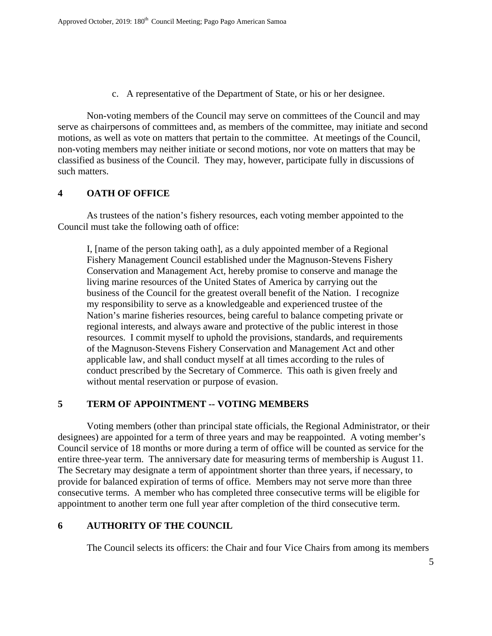c. A representative of the Department of State, or his or her designee.

Non-voting members of the Council may serve on committees of the Council and may serve as chairpersons of committees and, as members of the committee, may initiate and second motions, as well as vote on matters that pertain to the committee. At meetings of the Council, non-voting members may neither initiate or second motions, nor vote on matters that may be classified as business of the Council. They may, however, participate fully in discussions of such matters.

#### **4 OATH OF OFFICE**

 As trustees of the nation's fishery resources, each voting member appointed to the Council must take the following oath of office:

I, [name of the person taking oath], as a duly appointed member of a Regional Fishery Management Council established under the Magnuson-Stevens Fishery Conservation and Management Act, hereby promise to conserve and manage the living marine resources of the United States of America by carrying out the business of the Council for the greatest overall benefit of the Nation. I recognize my responsibility to serve as a knowledgeable and experienced trustee of the Nation's marine fisheries resources, being careful to balance competing private or regional interests, and always aware and protective of the public interest in those resources. I commit myself to uphold the provisions, standards, and requirements of the Magnuson-Stevens Fishery Conservation and Management Act and other applicable law, and shall conduct myself at all times according to the rules of conduct prescribed by the Secretary of Commerce. This oath is given freely and without mental reservation or purpose of evasion.

## **5 TERM OF APPOINTMENT -- VOTING MEMBERS**

 Voting members (other than principal state officials, the Regional Administrator, or their designees) are appointed for a term of three years and may be reappointed. A voting member's Council service of 18 months or more during a term of office will be counted as service for the entire three-year term. The anniversary date for measuring terms of membership is August 11. The Secretary may designate a term of appointment shorter than three years, if necessary, to provide for balanced expiration of terms of office. Members may not serve more than three consecutive terms. A member who has completed three consecutive terms will be eligible for appointment to another term one full year after completion of the third consecutive term.

## **6 AUTHORITY OF THE COUNCIL**

The Council selects its officers: the Chair and four Vice Chairs from among its members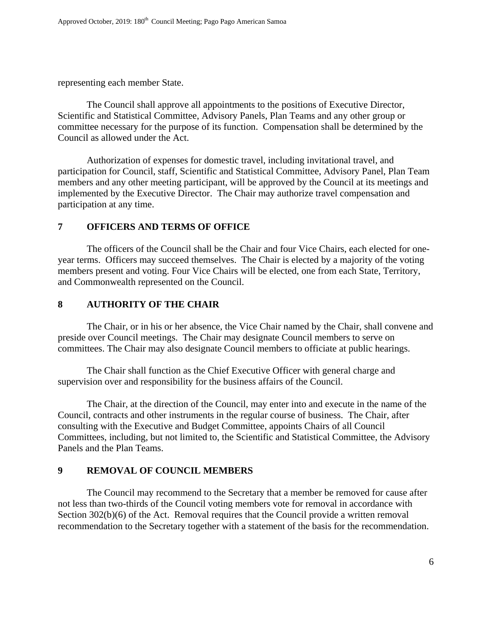representing each member State.

 The Council shall approve all appointments to the positions of Executive Director, Scientific and Statistical Committee, Advisory Panels, Plan Teams and any other group or committee necessary for the purpose of its function. Compensation shall be determined by the Council as allowed under the Act.

 Authorization of expenses for domestic travel, including invitational travel, and participation for Council, staff, Scientific and Statistical Committee, Advisory Panel, Plan Team members and any other meeting participant, will be approved by the Council at its meetings and implemented by the Executive Director. The Chair may authorize travel compensation and participation at any time.

#### **7 OFFICERS AND TERMS OF OFFICE**

 The officers of the Council shall be the Chair and four Vice Chairs, each elected for oneyear terms. Officers may succeed themselves. The Chair is elected by a majority of the voting members present and voting. Four Vice Chairs will be elected, one from each State, Territory, and Commonwealth represented on the Council.

#### **8 AUTHORITY OF THE CHAIR**

 The Chair, or in his or her absence, the Vice Chair named by the Chair, shall convene and preside over Council meetings. The Chair may designate Council members to serve on committees. The Chair may also designate Council members to officiate at public hearings.

 The Chair shall function as the Chief Executive Officer with general charge and supervision over and responsibility for the business affairs of the Council.

 The Chair, at the direction of the Council, may enter into and execute in the name of the Council, contracts and other instruments in the regular course of business. The Chair, after consulting with the Executive and Budget Committee, appoints Chairs of all Council Committees, including, but not limited to, the Scientific and Statistical Committee, the Advisory Panels and the Plan Teams.

## **9 REMOVAL OF COUNCIL MEMBERS**

The Council may recommend to the Secretary that a member be removed for cause after not less than two-thirds of the Council voting members vote for removal in accordance with Section 302(b)(6) of the Act. Removal requires that the Council provide a written removal recommendation to the Secretary together with a statement of the basis for the recommendation.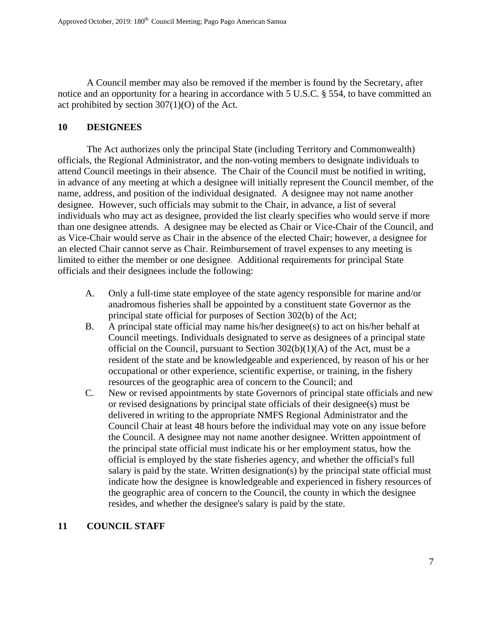A Council member may also be removed if the member is found by the Secretary, after notice and an opportunity for a hearing in accordance with 5 U.S.C. § 554, to have committed an act prohibited by section 307(1)(O) of the Act.

#### **10 DESIGNEES**

 The Act authorizes only the principal State (including Territory and Commonwealth) officials, the Regional Administrator, and the non-voting members to designate individuals to attend Council meetings in their absence. The Chair of the Council must be notified in writing, in advance of any meeting at which a designee will initially represent the Council member, of the name, address, and position of the individual designated. A designee may not name another designee. However, such officials may submit to the Chair, in advance, a list of several individuals who may act as designee, provided the list clearly specifies who would serve if more than one designee attends. A designee may be elected as Chair or Vice-Chair of the Council, and as Vice-Chair would serve as Chair in the absence of the elected Chair; however, a designee for an elected Chair cannot serve as Chair. Reimbursement of travel expenses to any meeting is limited to either the member or one designee. Additional requirements for principal State officials and their designees include the following:

- A. Only a full-time state employee of the state agency responsible for marine and/or anadromous fisheries shall be appointed by a constituent state Governor as the principal state official for purposes of Section 302(b) of the Act;
- B. A principal state official may name his/her designee(s) to act on his/her behalf at Council meetings. Individuals designated to serve as designees of a principal state official on the Council, pursuant to Section  $302(b)(1)(A)$  of the Act, must be a resident of the state and be knowledgeable and experienced, by reason of his or her occupational or other experience, scientific expertise, or training, in the fishery resources of the geographic area of concern to the Council; and
- C. New or revised appointments by state Governors of principal state officials and new or revised designations by principal state officials of their designee(s) must be delivered in writing to the appropriate NMFS Regional Administrator and the Council Chair at least 48 hours before the individual may vote on any issue before the Council. A designee may not name another designee. Written appointment of the principal state official must indicate his or her employment status, how the official is employed by the state fisheries agency, and whether the official's full salary is paid by the state. Written designation(s) by the principal state official must indicate how the designee is knowledgeable and experienced in fishery resources of the geographic area of concern to the Council, the county in which the designee resides, and whether the designee's salary is paid by the state.

## **11 COUNCIL STAFF**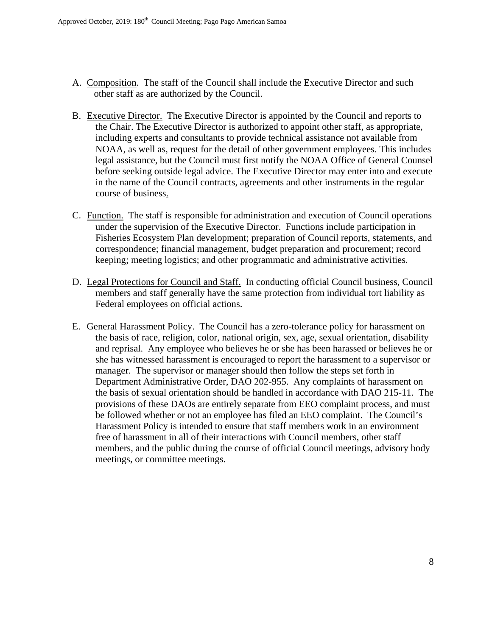- A. Composition. The staff of the Council shall include the Executive Director and such other staff as are authorized by the Council.
- B. Executive Director. The Executive Director is appointed by the Council and reports to the Chair. The Executive Director is authorized to appoint other staff, as appropriate, including experts and consultants to provide technical assistance not available from NOAA, as well as, request for the detail of other government employees. This includes legal assistance, but the Council must first notify the NOAA Office of General Counsel before seeking outside legal advice. The Executive Director may enter into and execute in the name of the Council contracts, agreements and other instruments in the regular course of business.
- C. Function. The staff is responsible for administration and execution of Council operations under the supervision of the Executive Director. Functions include participation in Fisheries Ecosystem Plan development; preparation of Council reports, statements, and correspondence; financial management, budget preparation and procurement; record keeping; meeting logistics; and other programmatic and administrative activities.
- D. Legal Protections for Council and Staff. In conducting official Council business, Council members and staff generally have the same protection from individual tort liability as Federal employees on official actions.
- E. General Harassment Policy. The Council has a zero-tolerance policy for harassment on the basis of race, religion, color, national origin, sex, age, sexual orientation, disability and reprisal. Any employee who believes he or she has been harassed or believes he or she has witnessed harassment is encouraged to report the harassment to a supervisor or manager. The supervisor or manager should then follow the steps set forth in Department Administrative Order, DAO 202-955. Any complaints of harassment on the basis of sexual orientation should be handled in accordance with DAO 215-11. The provisions of these DAOs are entirely separate from EEO complaint process, and must be followed whether or not an employee has filed an EEO complaint. The Council's Harassment Policy is intended to ensure that staff members work in an environment free of harassment in all of their interactions with Council members, other staff members, and the public during the course of official Council meetings, advisory body meetings, or committee meetings.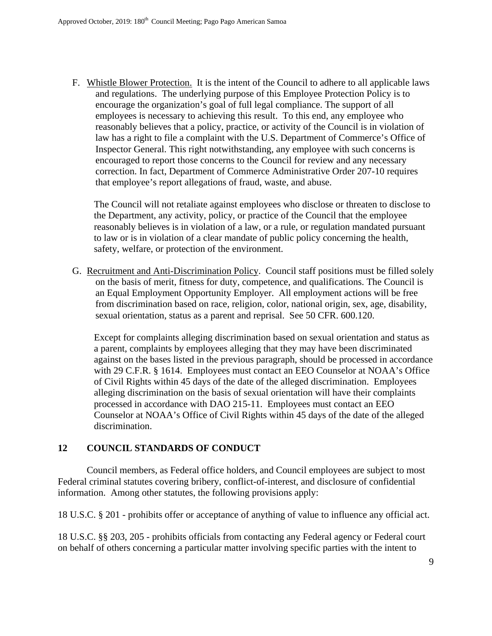F. Whistle Blower Protection. It is the intent of the Council to adhere to all applicable laws and regulations. The underlying purpose of this Employee Protection Policy is to encourage the organization's goal of full legal compliance. The support of all employees is necessary to achieving this result. To this end, any employee who reasonably believes that a policy, practice, or activity of the Council is in violation of law has a right to file a complaint with the U.S. Department of Commerce's Office of Inspector General. This right notwithstanding, any employee with such concerns is encouraged to report those concerns to the Council for review and any necessary correction. In fact, Department of Commerce Administrative Order 207-10 requires that employee's report allegations of fraud, waste, and abuse.

The Council will not retaliate against employees who disclose or threaten to disclose to the Department, any activity, policy, or practice of the Council that the employee reasonably believes is in violation of a law, or a rule, or regulation mandated pursuant to law or is in violation of a clear mandate of public policy concerning the health, safety, welfare, or protection of the environment.

G. Recruitment and Anti-Discrimination Policy. Council staff positions must be filled solely on the basis of merit, fitness for duty, competence, and qualifications. The Council is an Equal Employment Opportunity Employer. All employment actions will be free from discrimination based on race, religion, color, national origin, sex, age, disability, sexual orientation, status as a parent and reprisal. See 50 CFR. 600.120.

Except for complaints alleging discrimination based on sexual orientation and status as a parent, complaints by employees alleging that they may have been discriminated against on the bases listed in the previous paragraph, should be processed in accordance with 29 C.F.R. § 1614. Employees must contact an EEO Counselor at NOAA's Office of Civil Rights within 45 days of the date of the alleged discrimination. Employees alleging discrimination on the basis of sexual orientation will have their complaints processed in accordance with DAO 215-11. Employees must contact an EEO Counselor at NOAA's Office of Civil Rights within 45 days of the date of the alleged discrimination.

## **12 COUNCIL STANDARDS OF CONDUCT**

 Council members, as Federal office holders, and Council employees are subject to most Federal criminal statutes covering bribery, conflict-of-interest, and disclosure of confidential information. Among other statutes, the following provisions apply:

18 U.S.C. § 201 - prohibits offer or acceptance of anything of value to influence any official act.

18 U.S.C. §§ 203, 205 - prohibits officials from contacting any Federal agency or Federal court on behalf of others concerning a particular matter involving specific parties with the intent to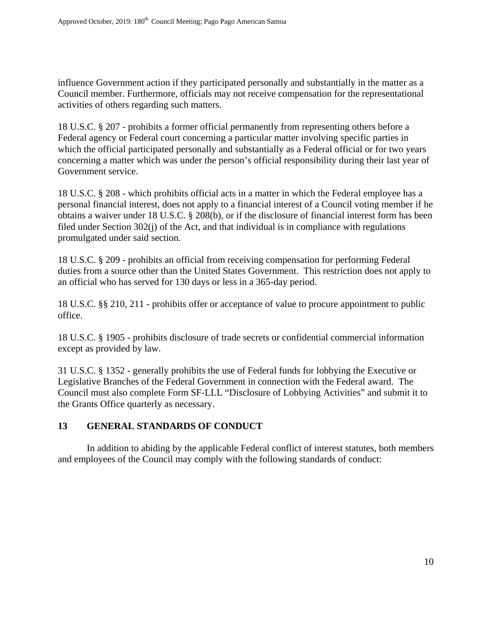influence Government action if they participated personally and substantially in the matter as a Council member. Furthermore, officials may not receive compensation for the representational activities of others regarding such matters.

18 U.S.C. § 207 - prohibits a former official permanently from representing others before a Federal agency or Federal court concerning a particular matter involving specific parties in which the official participated personally and substantially as a Federal official or for two years concerning a matter which was under the person's official responsibility during their last year of Government service.

18 U.S.C. § 208 - which prohibits official acts in a matter in which the Federal employee has a personal financial interest, does not apply to a financial interest of a Council voting member if he obtains a waiver under 18 U.S.C. § 208(b), or if the disclosure of financial interest form has been filed under Section 302(j) of the Act, and that individual is in compliance with regulations promulgated under said section.

18 U.S.C. § 209 - prohibits an official from receiving compensation for performing Federal duties from a source other than the United States Government. This restriction does not apply to an official who has served for 130 days or less in a 365-day period.

18 U.S.C. §§ 210, 211 - prohibits offer or acceptance of value to procure appointment to public office.

18 U.S.C. § 1905 - prohibits disclosure of trade secrets or confidential commercial information except as provided by law.

31 U.S.C. § 1352 - generally prohibits the use of Federal funds for lobbying the Executive or Legislative Branches of the Federal Government in connection with the Federal award. The Council must also complete Form SF-LLL "Disclosure of Lobbying Activities" and submit it to the Grants Office quarterly as necessary.

## **13 GENERAL STANDARDS OF CONDUCT**

 In addition to abiding by the applicable Federal conflict of interest statutes, both members and employees of the Council may comply with the following standards of conduct: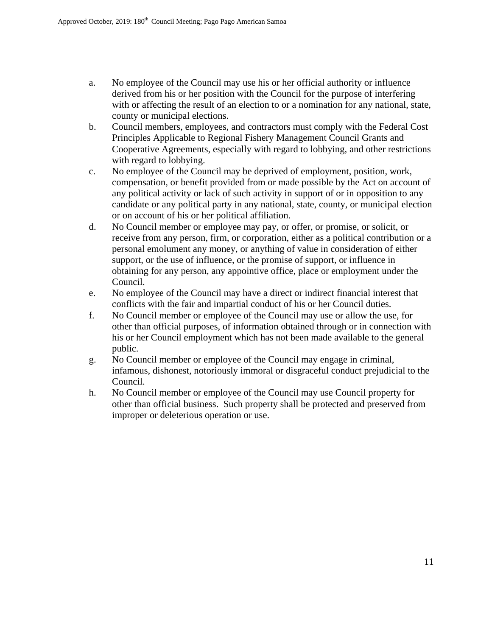- a. No employee of the Council may use his or her official authority or influence derived from his or her position with the Council for the purpose of interfering with or affecting the result of an election to or a nomination for any national, state, county or municipal elections.
- b. Council members, employees, and contractors must comply with the Federal Cost Principles Applicable to Regional Fishery Management Council Grants and Cooperative Agreements, especially with regard to lobbying, and other restrictions with regard to lobbying.
- c. No employee of the Council may be deprived of employment, position, work, compensation, or benefit provided from or made possible by the Act on account of any political activity or lack of such activity in support of or in opposition to any candidate or any political party in any national, state, county, or municipal election or on account of his or her political affiliation.
- d. No Council member or employee may pay, or offer, or promise, or solicit, or receive from any person, firm, or corporation, either as a political contribution or a personal emolument any money, or anything of value in consideration of either support, or the use of influence, or the promise of support, or influence in obtaining for any person, any appointive office, place or employment under the Council.
- e. No employee of the Council may have a direct or indirect financial interest that conflicts with the fair and impartial conduct of his or her Council duties.
- f. No Council member or employee of the Council may use or allow the use, for other than official purposes, of information obtained through or in connection with his or her Council employment which has not been made available to the general public.
- g. No Council member or employee of the Council may engage in criminal, infamous, dishonest, notoriously immoral or disgraceful conduct prejudicial to the Council.
- h. No Council member or employee of the Council may use Council property for other than official business. Such property shall be protected and preserved from improper or deleterious operation or use.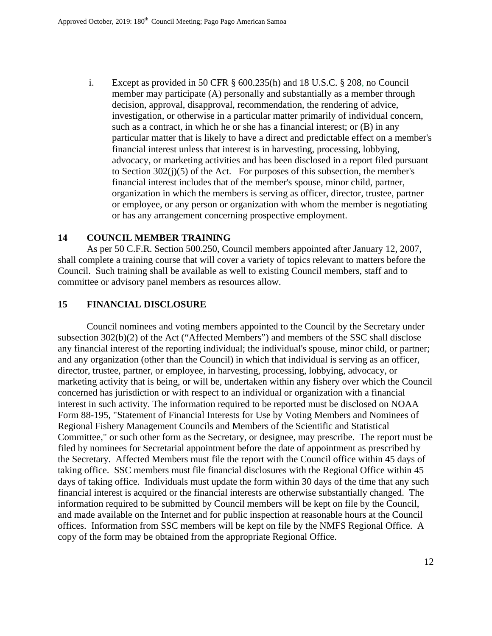i. Except as provided in 50 CFR § 600.235(h) and 18 U.S.C. § 208, no Council member may participate (A) personally and substantially as a member through decision, approval, disapproval, recommendation, the rendering of advice, investigation, or otherwise in a particular matter primarily of individual concern, such as a contract, in which he or she has a financial interest; or (B) in any particular matter that is likely to have a direct and predictable effect on a member's financial interest unless that interest is in harvesting, processing, lobbying, advocacy, or marketing activities and has been disclosed in a report filed pursuant to Section  $302(j)(5)$  of the Act. For purposes of this subsection, the member's financial interest includes that of the member's spouse, minor child, partner, organization in which the members is serving as officer, director, trustee, partner or employee, or any person or organization with whom the member is negotiating or has any arrangement concerning prospective employment.

#### **14 COUNCIL MEMBER TRAINING**

As per 50 C.F.R. Section 500.250, Council members appointed after January 12, 2007, shall complete a training course that will cover a variety of topics relevant to matters before the Council. Such training shall be available as well to existing Council members, staff and to committee or advisory panel members as resources allow.

#### **15 FINANCIAL DISCLOSURE**

 Council nominees and voting members appointed to the Council by the Secretary under subsection 302(b)(2) of the Act ("Affected Members") and members of the SSC shall disclose any financial interest of the reporting individual; the individual's spouse, minor child, or partner; and any organization (other than the Council) in which that individual is serving as an officer, director, trustee, partner, or employee, in harvesting, processing, lobbying, advocacy, or marketing activity that is being, or will be, undertaken within any fishery over which the Council concerned has jurisdiction or with respect to an individual or organization with a financial interest in such activity. The information required to be reported must be disclosed on NOAA Form 88-195, "Statement of Financial Interests for Use by Voting Members and Nominees of Regional Fishery Management Councils and Members of the Scientific and Statistical Committee," or such other form as the Secretary, or designee, may prescribe. The report must be filed by nominees for Secretarial appointment before the date of appointment as prescribed by the Secretary. Affected Members must file the report with the Council office within 45 days of taking office. SSC members must file financial disclosures with the Regional Office within 45 days of taking office. Individuals must update the form within 30 days of the time that any such financial interest is acquired or the financial interests are otherwise substantially changed. The information required to be submitted by Council members will be kept on file by the Council, and made available on the Internet and for public inspection at reasonable hours at the Council offices. Information from SSC members will be kept on file by the NMFS Regional Office. A copy of the form may be obtained from the appropriate Regional Office.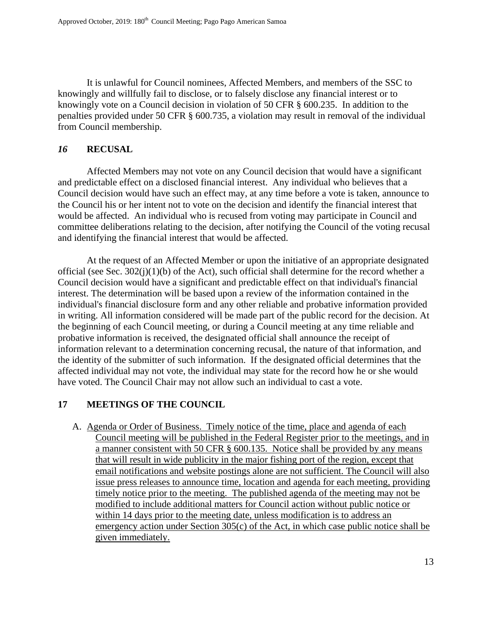It is unlawful for Council nominees, Affected Members, and members of the SSC to knowingly and willfully fail to disclose, or to falsely disclose any financial interest or to knowingly vote on a Council decision in violation of 50 CFR § 600.235. In addition to the penalties provided under 50 CFR § 600.735, a violation may result in removal of the individual from Council membership.

#### *16* **RECUSAL**

Affected Members may not vote on any Council decision that would have a significant and predictable effect on a disclosed financial interest. Any individual who believes that a Council decision would have such an effect may, at any time before a vote is taken, announce to the Council his or her intent not to vote on the decision and identify the financial interest that would be affected. An individual who is recused from voting may participate in Council and committee deliberations relating to the decision, after notifying the Council of the voting recusal and identifying the financial interest that would be affected.

At the request of an Affected Member or upon the initiative of an appropriate designated official (see Sec. 302(j)(1)(b) of the Act), such official shall determine for the record whether a Council decision would have a significant and predictable effect on that individual's financial interest. The determination will be based upon a review of the information contained in the individual's financial disclosure form and any other reliable and probative information provided in writing. All information considered will be made part of the public record for the decision. At the beginning of each Council meeting, or during a Council meeting at any time reliable and probative information is received, the designated official shall announce the receipt of information relevant to a determination concerning recusal, the nature of that information, and the identity of the submitter of such information. If the designated official determines that the affected individual may not vote, the individual may state for the record how he or she would have voted. The Council Chair may not allow such an individual to cast a vote.

## **17 MEETINGS OF THE COUNCIL**

A. Agenda or Order of Business. Timely notice of the time, place and agenda of each Council meeting will be published in the Federal Register prior to the meetings, and in a manner consistent with 50 CFR § 600.135. Notice shall be provided by any means that will result in wide publicity in the major fishing port of the region, except that email notifications and website postings alone are not sufficient. The Council will also issue press releases to announce time, location and agenda for each meeting, providing timely notice prior to the meeting. The published agenda of the meeting may not be modified to include additional matters for Council action without public notice or within 14 days prior to the meeting date, unless modification is to address an emergency action under Section 305(c) of the Act, in which case public notice shall be given immediately.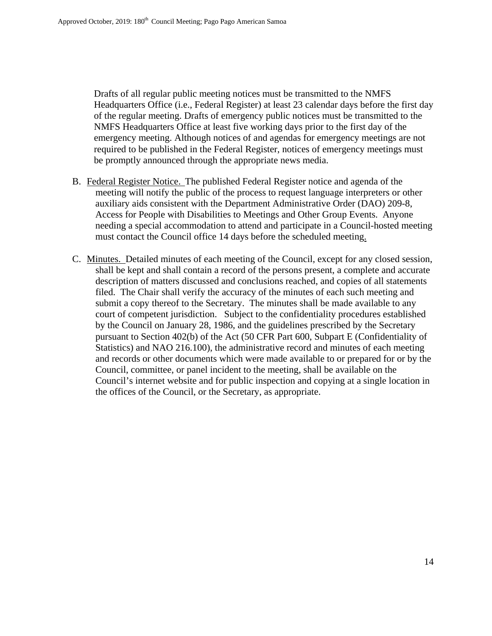Drafts of all regular public meeting notices must be transmitted to the NMFS Headquarters Office (i.e., Federal Register) at least 23 calendar days before the first day of the regular meeting. Drafts of emergency public notices must be transmitted to the NMFS Headquarters Office at least five working days prior to the first day of the emergency meeting. Although notices of and agendas for emergency meetings are not required to be published in the Federal Register, notices of emergency meetings must be promptly announced through the appropriate news media.

- B. Federal Register Notice. The published Federal Register notice and agenda of the meeting will notify the public of the process to request language interpreters or other auxiliary aids consistent with the Department Administrative Order (DAO) 209-8, Access for People with Disabilities to Meetings and Other Group Events. Anyone needing a special accommodation to attend and participate in a Council-hosted meeting must contact the Council office 14 days before the scheduled meeting.
- C. Minutes. Detailed minutes of each meeting of the Council, except for any closed session, shall be kept and shall contain a record of the persons present, a complete and accurate description of matters discussed and conclusions reached, and copies of all statements filed. The Chair shall verify the accuracy of the minutes of each such meeting and submit a copy thereof to the Secretary. The minutes shall be made available to any court of competent jurisdiction. Subject to the confidentiality procedures established by the Council on January 28, 1986, and the guidelines prescribed by the Secretary pursuant to Section 402(b) of the Act (50 CFR Part 600, Subpart E (Confidentiality of Statistics) and NAO 216.100), the administrative record and minutes of each meeting and records or other documents which were made available to or prepared for or by the Council, committee, or panel incident to the meeting, shall be available on the Council's internet website and for public inspection and copying at a single location in the offices of the Council, or the Secretary, as appropriate.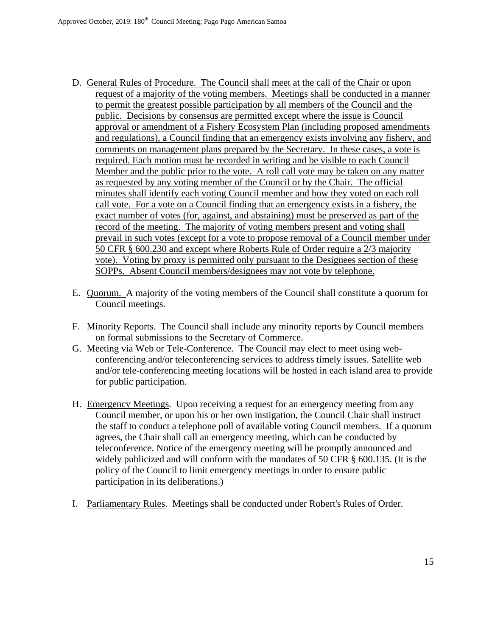- D. General Rules of Procedure. The Council shall meet at the call of the Chair or upon request of a majority of the voting members. Meetings shall be conducted in a manner to permit the greatest possible participation by all members of the Council and the public. Decisions by consensus are permitted except where the issue is Council approval or amendment of a Fishery Ecosystem Plan (including proposed amendments and regulations), a Council finding that an emergency exists involving any fishery, and comments on management plans prepared by the Secretary. In these cases, a vote is required. Each motion must be recorded in writing and be visible to each Council Member and the public prior to the vote. A roll call vote may be taken on any matter as requested by any voting member of the Council or by the Chair. The official minutes shall identify each voting Council member and how they voted on each roll call vote. For a vote on a Council finding that an emergency exists in a fishery, the exact number of votes (for, against, and abstaining) must be preserved as part of the record of the meeting. The majority of voting members present and voting shall prevail in such votes (except for a vote to propose removal of a Council member under 50 CFR § 600.230 and except where Roberts Rule of Order require a 2/3 majority vote). Voting by proxy is permitted only pursuant to the Designees section of these SOPPs. Absent Council members/designees may not vote by telephone.
- E. Quorum. A majority of the voting members of the Council shall constitute a quorum for Council meetings.
- F. Minority Reports. The Council shall include any minority reports by Council members on formal submissions to the Secretary of Commerce.
- G. Meeting via Web or Tele-Conference. The Council may elect to meet using webconferencing and/or teleconferencing services to address timely issues. Satellite web and/or tele-conferencing meeting locations will be hosted in each island area to provide for public participation.
- H. Emergency Meetings. Upon receiving a request for an emergency meeting from any Council member, or upon his or her own instigation, the Council Chair shall instruct the staff to conduct a telephone poll of available voting Council members. If a quorum agrees, the Chair shall call an emergency meeting, which can be conducted by teleconference. Notice of the emergency meeting will be promptly announced and widely publicized and will conform with the mandates of 50 CFR  $\S$  600.135. (It is the policy of the Council to limit emergency meetings in order to ensure public participation in its deliberations.)
- I. Parliamentary Rules. Meetings shall be conducted under Robert's Rules of Order.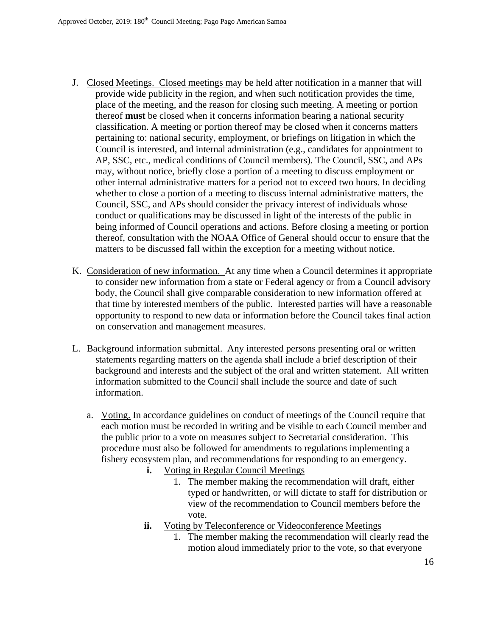- J. Closed Meetings. Closed meetings may be held after notification in a manner that will provide wide publicity in the region, and when such notification provides the time, place of the meeting, and the reason for closing such meeting. A meeting or portion thereof **must** be closed when it concerns information bearing a national security classification. A meeting or portion thereof may be closed when it concerns matters pertaining to: national security, employment, or briefings on litigation in which the Council is interested, and internal administration (e.g., candidates for appointment to AP, SSC, etc., medical conditions of Council members). The Council, SSC, and APs may, without notice, briefly close a portion of a meeting to discuss employment or other internal administrative matters for a period not to exceed two hours. In deciding whether to close a portion of a meeting to discuss internal administrative matters, the Council, SSC, and APs should consider the privacy interest of individuals whose conduct or qualifications may be discussed in light of the interests of the public in being informed of Council operations and actions. Before closing a meeting or portion thereof, consultation with the NOAA Office of General should occur to ensure that the matters to be discussed fall within the exception for a meeting without notice.
- K. Consideration of new information. At any time when a Council determines it appropriate to consider new information from a state or Federal agency or from a Council advisory body, the Council shall give comparable consideration to new information offered at that time by interested members of the public. Interested parties will have a reasonable opportunity to respond to new data or information before the Council takes final action on conservation and management measures.
- L. Background information submittal. Any interested persons presenting oral or written statements regarding matters on the agenda shall include a brief description of their background and interests and the subject of the oral and written statement. All written information submitted to the Council shall include the source and date of such information.
	- a. Voting. In accordance guidelines on conduct of meetings of the Council require that each motion must be recorded in writing and be visible to each Council member and the public prior to a vote on measures subject to Secretarial consideration. This procedure must also be followed for amendments to regulations implementing a fishery ecosystem plan, and recommendations for responding to an emergency.
		- **i.** Voting in Regular Council Meetings
			- 1. The member making the recommendation will draft, either typed or handwritten, or will dictate to staff for distribution or view of the recommendation to Council members before the vote.
		- **ii.** Voting by Teleconference or Videoconference Meetings
			- 1. The member making the recommendation will clearly read the motion aloud immediately prior to the vote, so that everyone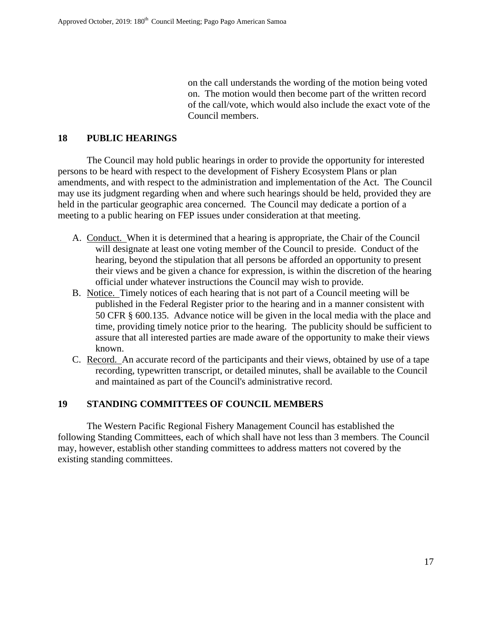on the call understands the wording of the motion being voted on. The motion would then become part of the written record of the call/vote, which would also include the exact vote of the Council members.

#### **18 PUBLIC HEARINGS**

 The Council may hold public hearings in order to provide the opportunity for interested persons to be heard with respect to the development of Fishery Ecosystem Plans or plan amendments, and with respect to the administration and implementation of the Act. The Council may use its judgment regarding when and where such hearings should be held, provided they are held in the particular geographic area concerned.The Council may dedicate a portion of a meeting to a public hearing on FEP issues under consideration at that meeting.

- A. Conduct. When it is determined that a hearing is appropriate, the Chair of the Council will designate at least one voting member of the Council to preside. Conduct of the hearing, beyond the stipulation that all persons be afforded an opportunity to present their views and be given a chance for expression, is within the discretion of the hearing official under whatever instructions the Council may wish to provide.
- B. Notice. Timely notices of each hearing that is not part of a Council meeting will be published in the Federal Register prior to the hearing and in a manner consistent with 50 CFR § 600.135. Advance notice will be given in the local media with the place and time, providing timely notice prior to the hearing. The publicity should be sufficient to assure that all interested parties are made aware of the opportunity to make their views known.
- C. Record. An accurate record of the participants and their views, obtained by use of a tape recording, typewritten transcript, or detailed minutes, shall be available to the Council and maintained as part of the Council's administrative record.

## **19 STANDING COMMITTEES OF COUNCIL MEMBERS**

 The Western Pacific Regional Fishery Management Council has established the following Standing Committees, each of which shall have not less than 3 members. The Council may, however, establish other standing committees to address matters not covered by the existing standing committees.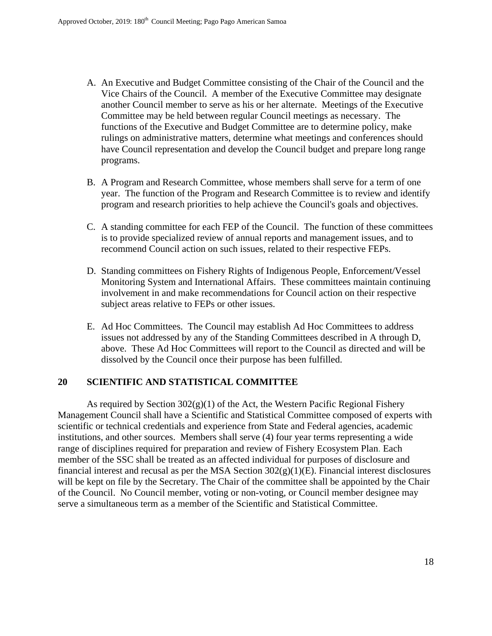- A. An Executive and Budget Committee consisting of the Chair of the Council and the Vice Chairs of the Council. A member of the Executive Committee may designate another Council member to serve as his or her alternate. Meetings of the Executive Committee may be held between regular Council meetings as necessary. The functions of the Executive and Budget Committee are to determine policy, make rulings on administrative matters, determine what meetings and conferences should have Council representation and develop the Council budget and prepare long range programs.
- B. A Program and Research Committee, whose members shall serve for a term of one year. The function of the Program and Research Committee is to review and identify program and research priorities to help achieve the Council's goals and objectives.
- C. A standing committee for each FEP of the Council. The function of these committees is to provide specialized review of annual reports and management issues, and to recommend Council action on such issues, related to their respective FEPs.
- D. Standing committees on Fishery Rights of Indigenous People, Enforcement/Vessel Monitoring System and International Affairs. These committees maintain continuing involvement in and make recommendations for Council action on their respective subject areas relative to FEPs or other issues.
- E. Ad Hoc Committees. The Council may establish Ad Hoc Committees to address issues not addressed by any of the Standing Committees described in A through D, above. These Ad Hoc Committees will report to the Council as directed and will be dissolved by the Council once their purpose has been fulfilled.

#### **20 SCIENTIFIC AND STATISTICAL COMMITTEE**

As required by Section  $302(g)(1)$  of the Act, the Western Pacific Regional Fishery Management Council shall have a Scientific and Statistical Committee composed of experts with scientific or technical credentials and experience from State and Federal agencies, academic institutions, and other sources. Members shall serve (4) four year terms representing a wide range of disciplines required for preparation and review of Fishery Ecosystem Plan. Each member of the SSC shall be treated as an affected individual for purposes of disclosure and financial interest and recusal as per the MSA Section 302(g)(1)(E). Financial interest disclosures will be kept on file by the Secretary. The Chair of the committee shall be appointed by the Chair of the Council. No Council member, voting or non-voting, or Council member designee may serve a simultaneous term as a member of the Scientific and Statistical Committee.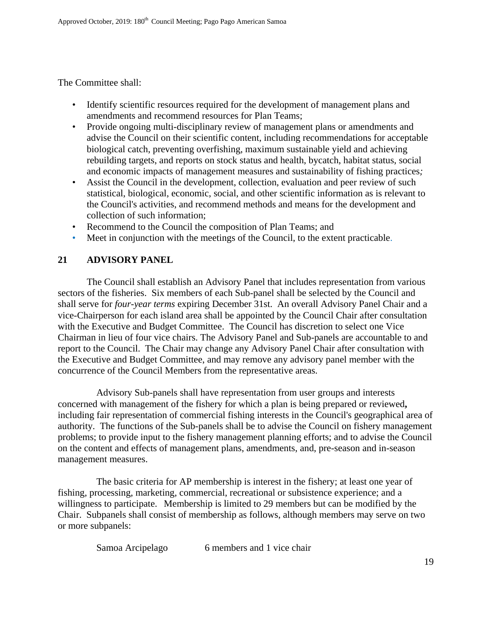The Committee shall:

- Identify scientific resources required for the development of management plans and amendments and recommend resources for Plan Teams;
- Provide ongoing multi-disciplinary review of management plans or amendments and advise the Council on their scientific content*,* including recommendations for acceptable biological catch, preventing overfishing, maximum sustainable yield and achieving rebuilding targets, and reports on stock status and health, bycatch, habitat status, social and economic impacts of management measures and sustainability of fishing practices*;*
- Assist the Council in the development, collection, evaluation and peer review of such statistical, biological, economic, social, and other scientific information as is relevant to the Council's activities, and recommend methods and means for the development and collection of such information;
- Recommend to the Council the composition of Plan Teams; and
- Meet in conjunction with the meetings of the Council, to the extent practicable.

## **21 ADVISORY PANEL**

 The Council shall establish an Advisory Panel that includes representation from various sectors of the fisheries. Six members of each Sub-panel shall be selected by the Council and shall serve for *four-year terms* expiring December 31st. An overall Advisory Panel Chair and a vice-Chairperson for each island area shall be appointed by the Council Chair after consultation with the Executive and Budget Committee. The Council has discretion to select one Vice Chairman in lieu of four vice chairs. The Advisory Panel and Sub-panels are accountable to and report to the Council. The Chair may change any Advisory Panel Chair after consultation with the Executive and Budget Committee, and may remove any advisory panel member with the concurrence of the Council Members from the representative areas.

 Advisory Sub-panels shall have representation from user groups and interests concerned with management of the fishery for which a plan is being prepared or reviewed**,** including fair representation of commercial fishing interests in the Council's geographical area of authority. The functions of the Sub-panels shall be to advise the Council on fishery management problems; to provide input to the fishery management planning efforts; and to advise the Council on the content and effects of management plans, amendments, and, pre-season and in-season management measures.

 The basic criteria for AP membership is interest in the fishery; at least one year of fishing, processing, marketing, commercial, recreational or subsistence experience; and a willingness to participate. Membership is limited to 29 members but can be modified by the Chair. Subpanels shall consist of membership as follows, although members may serve on two or more subpanels:

| Samoa Arcipelago | 6 members and 1 vice chair |
|------------------|----------------------------|
|------------------|----------------------------|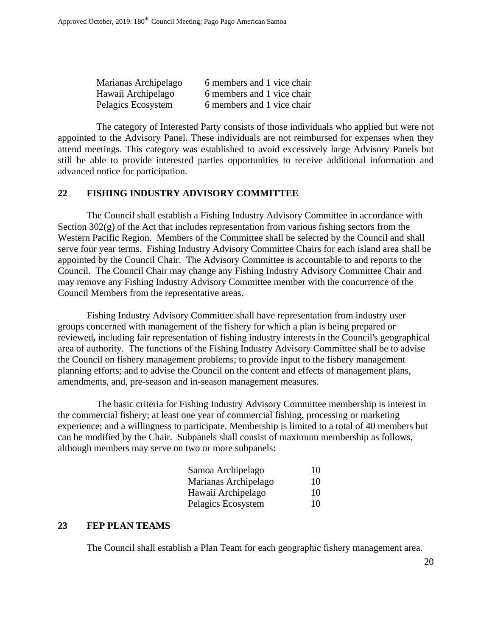| Marianas Archipelago | 6 members and 1 vice chair |
|----------------------|----------------------------|
| Hawaii Archipelago   | 6 members and 1 vice chair |
| Pelagics Ecosystem   | 6 members and 1 vice chair |

The category of Interested Party consists of those individuals who applied but were not appointed to the Advisory Panel. These individuals are not reimbursed for expenses when they attend meetings. This category was established to avoid excessively large Advisory Panels but still be able to provide interested parties opportunities to receive additional information and advanced notice for participation.

#### **22 FISHING INDUSTRY ADVISORY COMMITTEE**

 The Council shall establish a Fishing Industry Advisory Committee in accordance with Section  $302(g)$  of the Act that includes representation from various fishing sectors from the Western Pacific Region. Members of the Committee shall be selected by the Council and shall serve four year terms. Fishing Industry Advisory Committee Chairs for each island area shall be appointed by the Council Chair. The Advisory Committee is accountable to and reports to the Council. The Council Chair may change any Fishing Industry Advisory Committee Chair and may remove any Fishing Industry Advisory Committee member with the concurrence of the Council Members from the representative areas.

 Fishing Industry Advisory Committee shall have representation from industry user groups concerned with management of the fishery for which a plan is being prepared or reviewed**,** including fair representation of fishing industry interests in the Council's geographical area of authority. The functions of the Fishing Industry Advisory Committee shall be to advise the Council on fishery management problems; to provide input to the fishery management planning efforts; and to advise the Council on the content and effects of management plans, amendments, and, pre-season and in-season management measures.

 The basic criteria for Fishing Industry Advisory Committee membership is interest in the commercial fishery; at least one year of commercial fishing, processing or marketing experience; and a willingness to participate. Membership is limited to a total of 40 members but can be modified by the Chair. Subpanels shall consist of maximum membership as follows, although members may serve on two or more subpanels:

| Samoa Archipelago    | 10. |
|----------------------|-----|
| Marianas Archipelago | 10  |
| Hawaii Archipelago   | 10. |
| Pelagics Ecosystem   | 10  |

#### **23 FEP PLAN TEAMS**

The Council shall establish a Plan Team for each geographic fishery management area.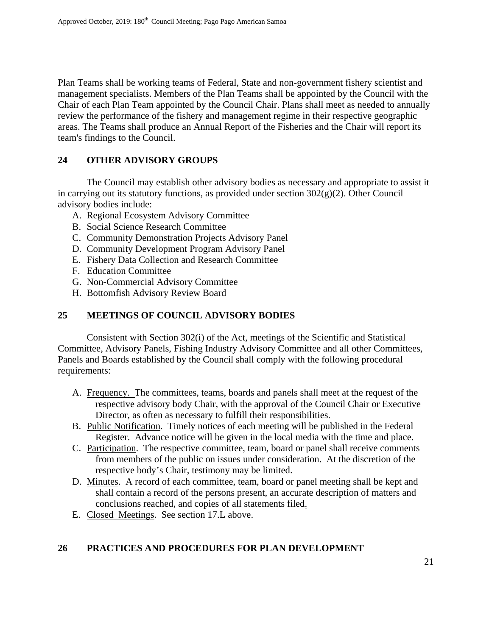Plan Teams shall be working teams of Federal, State and non-government fishery scientist and management specialists. Members of the Plan Teams shall be appointed by the Council with the Chair of each Plan Team appointed by the Council Chair. Plans shall meet as needed to annually review the performance of the fishery and management regime in their respective geographic areas. The Teams shall produce an Annual Report of the Fisheries and the Chair will report its team's findings to the Council.

#### **24 OTHER ADVISORY GROUPS**

The Council may establish other advisory bodies as necessary and appropriate to assist it in carrying out its statutory functions, as provided under section  $302(g)(2)$ . Other Council advisory bodies include:

- A. Regional Ecosystem Advisory Committee
- B. Social Science Research Committee
- C. Community Demonstration Projects Advisory Panel
- D. Community Development Program Advisory Panel
- E. Fishery Data Collection and Research Committee
- F. Education Committee
- G. Non-Commercial Advisory Committee
- H. Bottomfish Advisory Review Board

#### **25 MEETINGS OF COUNCIL ADVISORY BODIES**

Consistent with Section 302(i) of the Act, meetings of the Scientific and Statistical Committee, Advisory Panels, Fishing Industry Advisory Committee and all other Committees, Panels and Boards established by the Council shall comply with the following procedural requirements:

- A. Frequency. The committees, teams, boards and panels shall meet at the request of the respective advisory body Chair, with the approval of the Council Chair or Executive Director, as often as necessary to fulfill their responsibilities.
- B. Public Notification. Timely notices of each meeting will be published in the Federal Register. Advance notice will be given in the local media with the time and place.
- C. Participation. The respective committee, team, board or panel shall receive comments from members of the public on issues under consideration. At the discretion of the respective body's Chair, testimony may be limited.
- D. Minutes. A record of each committee, team, board or panel meeting shall be kept and shall contain a record of the persons present, an accurate description of matters and conclusions reached, and copies of all statements filed.
- E. Closed Meetings. See section 17.L above.

## **26 PRACTICES AND PROCEDURES FOR PLAN DEVELOPMENT**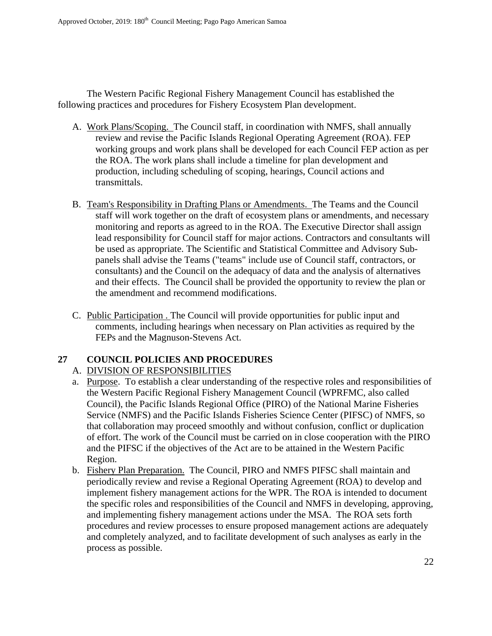The Western Pacific Regional Fishery Management Council has established the following practices and procedures for Fishery Ecosystem Plan development.

- A. Work Plans/Scoping. The Council staff, in coordination with NMFS, shall annually review and revise the Pacific Islands Regional Operating Agreement (ROA). FEP working groups and work plans shall be developed for each Council FEP action as per the ROA. The work plans shall include a timeline for plan development and production, including scheduling of scoping, hearings, Council actions and transmittals.
- B. Team's Responsibility in Drafting Plans or Amendments. The Teams and the Council staff will work together on the draft of ecosystem plans or amendments, and necessary monitoring and reports as agreed to in the ROA. The Executive Director shall assign lead responsibility for Council staff for major actions. Contractors and consultants will be used as appropriate. The Scientific and Statistical Committee and Advisory Subpanels shall advise the Teams ("teams" include use of Council staff, contractors, or consultants) and the Council on the adequacy of data and the analysis of alternatives and their effects. The Council shall be provided the opportunity to review the plan or the amendment and recommend modifications.
- C. Public Participation . The Council will provide opportunities for public input and comments, including hearings when necessary on Plan activities as required by the FEPs and the Magnuson-Stevens Act.

## **27 COUNCIL POLICIES AND PROCEDURES**

## A. DIVISION OF RESPONSIBILITIES

- a. Purpose. To establish a clear understanding of the respective roles and responsibilities of the Western Pacific Regional Fishery Management Council (WPRFMC, also called Council), the Pacific Islands Regional Office (PIRO) of the National Marine Fisheries Service (NMFS) and the Pacific Islands Fisheries Science Center (PIFSC) of NMFS, so that collaboration may proceed smoothly and without confusion, conflict or duplication of effort. The work of the Council must be carried on in close cooperation with the PIRO and the PIFSC if the objectives of the Act are to be attained in the Western Pacific Region.
- b. Fishery Plan Preparation. The Council, PIRO and NMFS PIFSC shall maintain and periodically review and revise a Regional Operating Agreement (ROA) to develop and implement fishery management actions for the WPR. The ROA is intended to document the specific roles and responsibilities of the Council and NMFS in developing, approving, and implementing fishery management actions under the MSA. The ROA sets forth procedures and review processes to ensure proposed management actions are adequately and completely analyzed, and to facilitate development of such analyses as early in the process as possible.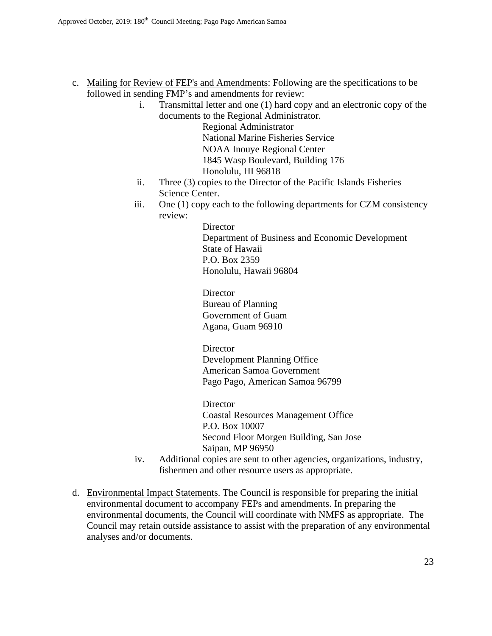- c. Mailing for Review of FEP's and Amendments: Following are the specifications to be followed in sending FMP's and amendments for review:
	- i. Transmittal letter and one (1) hard copy and an electronic copy of the documents to the Regional Administrator.

Regional Administrator National Marine Fisheries Service NOAA Inouye Regional Center 1845 Wasp Boulevard, Building 176 Honolulu, HI 96818

- ii. Three (3) copies to the Director of the Pacific Islands Fisheries Science Center.
- iii. One (1) copy each to the following departments for CZM consistency review:

**Director** Department of Business and Economic Development State of Hawaii P.O. Box 2359 Honolulu, Hawaii 96804

**Director** Bureau of Planning Government of Guam Agana, Guam 96910

**Director** Development Planning Office American Samoa Government Pago Pago, American Samoa 96799

**Director** Coastal Resources Management Office P.O. Box 10007 Second Floor Morgen Building, San Jose Saipan, MP 96950

- iv. Additional copies are sent to other agencies, organizations, industry, fishermen and other resource users as appropriate.
- d. Environmental Impact Statements. The Council is responsible for preparing the initial environmental document to accompany FEPs and amendments. In preparing the environmental documents, the Council will coordinate with NMFS as appropriate. The Council may retain outside assistance to assist with the preparation of any environmental analyses and/or documents.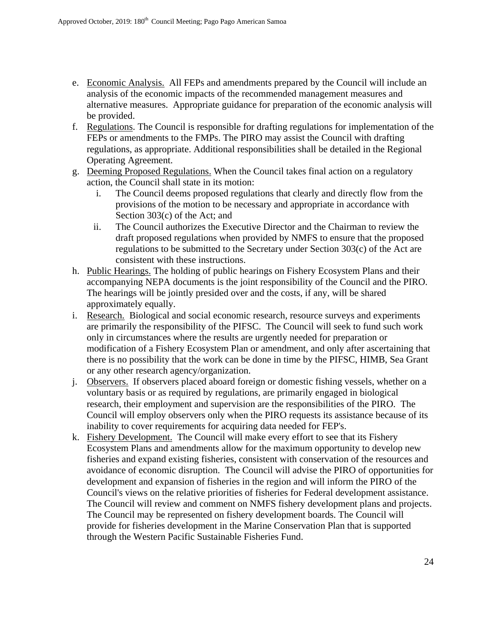- e. Economic Analysis. All FEPs and amendments prepared by the Council will include an analysis of the economic impacts of the recommended management measures and alternative measures. Appropriate guidance for preparation of the economic analysis will be provided.
- f. Regulations. The Council is responsible for drafting regulations for implementation of the FEPs or amendments to the FMPs. The PIRO may assist the Council with drafting regulations, as appropriate. Additional responsibilities shall be detailed in the Regional Operating Agreement.
- g. Deeming Proposed Regulations. When the Council takes final action on a regulatory action, the Council shall state in its motion:
	- i. The Council deems proposed regulations that clearly and directly flow from the provisions of the motion to be necessary and appropriate in accordance with Section 303(c) of the Act; and
	- ii. The Council authorizes the Executive Director and the Chairman to review the draft proposed regulations when provided by NMFS to ensure that the proposed regulations to be submitted to the Secretary under Section 303(c) of the Act are consistent with these instructions.
- h. Public Hearings. The holding of public hearings on Fishery Ecosystem Plans and their accompanying NEPA documents is the joint responsibility of the Council and the PIRO. The hearings will be jointly presided over and the costs, if any, will be shared approximately equally.
- i. Research. Biological and social economic research, resource surveys and experiments are primarily the responsibility of the PIFSC. The Council will seek to fund such work only in circumstances where the results are urgently needed for preparation or modification of a Fishery Ecosystem Plan or amendment, and only after ascertaining that there is no possibility that the work can be done in time by the PIFSC, HIMB, Sea Grant or any other research agency/organization.
- j. Observers. If observers placed aboard foreign or domestic fishing vessels, whether on a voluntary basis or as required by regulations, are primarily engaged in biological research, their employment and supervision are the responsibilities of the PIRO. The Council will employ observers only when the PIRO requests its assistance because of its inability to cover requirements for acquiring data needed for FEP's.
- k. Fishery Development. The Council will make every effort to see that its Fishery Ecosystem Plans and amendments allow for the maximum opportunity to develop new fisheries and expand existing fisheries, consistent with conservation of the resources and avoidance of economic disruption. The Council will advise the PIRO of opportunities for development and expansion of fisheries in the region and will inform the PIRO of the Council's views on the relative priorities of fisheries for Federal development assistance. The Council will review and comment on NMFS fishery development plans and projects. The Council may be represented on fishery development boards. The Council will provide for fisheries development in the Marine Conservation Plan that is supported through the Western Pacific Sustainable Fisheries Fund.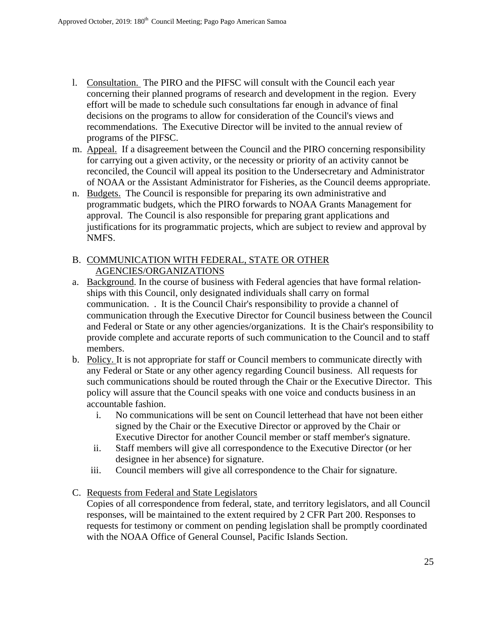- l. Consultation. The PIRO and the PIFSC will consult with the Council each year concerning their planned programs of research and development in the region. Every effort will be made to schedule such consultations far enough in advance of final decisions on the programs to allow for consideration of the Council's views and recommendations. The Executive Director will be invited to the annual review of programs of the PIFSC.
- m. Appeal. If a disagreement between the Council and the PIRO concerning responsibility for carrying out a given activity, or the necessity or priority of an activity cannot be reconciled, the Council will appeal its position to the Undersecretary and Administrator of NOAA or the Assistant Administrator for Fisheries, as the Council deems appropriate.
- n. Budgets.The Council is responsible for preparing its own administrative and programmatic budgets, which the PIRO forwards to NOAA Grants Management for approval. The Council is also responsible for preparing grant applications and justifications for its programmatic projects, which are subject to review and approval by NMFS.

# B. COMMUNICATION WITH FEDERAL, STATE OR OTHER AGENCIES/ORGANIZATIONS

- a. Background. In the course of business with Federal agencies that have formal relationships with this Council, only designated individuals shall carry on formal communication. . It is the Council Chair's responsibility to provide a channel of communication through the Executive Director for Council business between the Council and Federal or State or any other agencies/organizations. It is the Chair's responsibility to provide complete and accurate reports of such communication to the Council and to staff members.
- b. Policy. It is not appropriate for staff or Council members to communicate directly with any Federal or State or any other agency regarding Council business. All requests for such communications should be routed through the Chair or the Executive Director. This policy will assure that the Council speaks with one voice and conducts business in an accountable fashion.
	- i. No communications will be sent on Council letterhead that have not been either signed by the Chair or the Executive Director or approved by the Chair or Executive Director for another Council member or staff member's signature.
	- ii. Staff members will give all correspondence to the Executive Director (or her designee in her absence) for signature.
	- iii. Council members will give all correspondence to the Chair for signature.

C. Requests from Federal and State Legislators

Copies of all correspondence from federal, state, and territory legislators, and all Council responses, will be maintained to the extent required by 2 CFR Part 200. Responses to requests for testimony or comment on pending legislation shall be promptly coordinated with the NOAA Office of General Counsel, Pacific Islands Section.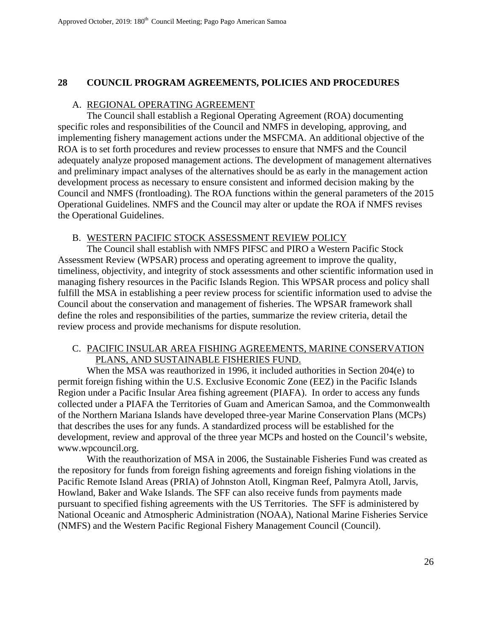#### **28 COUNCIL PROGRAM AGREEMENTS, POLICIES AND PROCEDURES**

#### A. REGIONAL OPERATING AGREEMENT

 The Council shall establish a Regional Operating Agreement (ROA) documenting specific roles and responsibilities of the Council and NMFS in developing, approving, and implementing fishery management actions under the MSFCMA. An additional objective of the ROA is to set forth procedures and review processes to ensure that NMFS and the Council adequately analyze proposed management actions. The development of management alternatives and preliminary impact analyses of the alternatives should be as early in the management action development process as necessary to ensure consistent and informed decision making by the Council and NMFS (frontloading). The ROA functions within the general parameters of the 2015 Operational Guidelines. NMFS and the Council may alter or update the ROA if NMFS revises the Operational Guidelines.

#### B. WESTERN PACIFIC STOCK ASSESSMENT REVIEW POLICY

The Council shall establish with NMFS PIFSC and PIRO a Western Pacific Stock Assessment Review (WPSAR) process and operating agreement to improve the quality, timeliness, objectivity, and integrity of stock assessments and other scientific information used in managing fishery resources in the Pacific Islands Region. This WPSAR process and policy shall fulfill the MSA in establishing a peer review process for scientific information used to advise the Council about the conservation and management of fisheries. The WPSAR framework shall define the roles and responsibilities of the parties, summarize the review criteria, detail the review process and provide mechanisms for dispute resolution.

#### C. PACIFIC INSULAR AREA FISHING AGREEMENTS, MARINE CONSERVATION PLANS, AND SUSTAINABLE FISHERIES FUND.

When the MSA was reauthorized in 1996, it included authorities in Section 204(e) to permit foreign fishing within the U.S. Exclusive Economic Zone (EEZ) in the Pacific Islands Region under a Pacific Insular Area fishing agreement (PIAFA). In order to access any funds collected under a PIAFA the Territories of Guam and American Samoa, and the Commonwealth of the Northern Mariana Islands have developed three-year Marine Conservation Plans (MCPs) that describes the uses for any funds. A standardized process will be established for the development, review and approval of the three year MCPs and hosted on the Council's website, www.wpcouncil.org.

With the reauthorization of MSA in 2006, the Sustainable Fisheries Fund was created as the repository for funds from foreign fishing agreements and foreign fishing violations in the Pacific Remote Island Areas (PRIA) of Johnston Atoll, Kingman Reef, Palmyra Atoll, Jarvis, Howland, Baker and Wake Islands. The SFF can also receive funds from payments made pursuant to specified fishing agreements with the US Territories. The SFF is administered by National Oceanic and Atmospheric Administration (NOAA), National Marine Fisheries Service (NMFS) and the Western Pacific Regional Fishery Management Council (Council).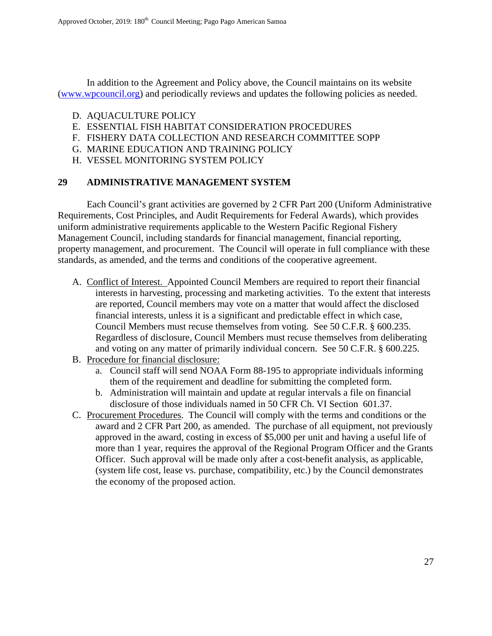In addition to the Agreement and Policy above, the Council maintains on its website (www.wpcouncil.org) and periodically reviews and updates the following policies as needed.

- D. AQUACULTURE POLICY
- E. ESSENTIAL FISH HABITAT CONSIDERATION PROCEDURES
- F. FISHERY DATA COLLECTION AND RESEARCH COMMITTEE SOPP
- G. MARINE EDUCATION AND TRAINING POLICY
- H. VESSEL MONITORING SYSTEM POLICY

#### **29 ADMINISTRATIVE MANAGEMENT SYSTEM**

 Each Council's grant activities are governed by 2 CFR Part 200 (Uniform Administrative Requirements, Cost Principles, and Audit Requirements for Federal Awards), which provides uniform administrative requirements applicable to the Western Pacific Regional Fishery Management Council, including standards for financial management, financial reporting, property management, and procurement. The Council will operate in full compliance with these standards, as amended, and the terms and conditions of the cooperative agreement.

- A. Conflict of Interest. Appointed Council Members are required to report their financial interests in harvesting, processing and marketing activities. To the extent that interests are reported, Council members may vote on a matter that would affect the disclosed financial interests, unless it is a significant and predictable effect in which case, Council Members must recuse themselves from voting. See 50 C.F.R. § 600.235. Regardless of disclosure, Council Members must recuse themselves from deliberating and voting on any matter of primarily individual concern. See 50 C.F.R. § 600.225.
- B. Procedure for financial disclosure:
	- a. Council staff will send NOAA Form 88-195 to appropriate individuals informing them of the requirement and deadline for submitting the completed form.
	- b. Administration will maintain and update at regular intervals a file on financial disclosure of those individuals named in 50 CFR Ch. VI Section 601.37.
- C. Procurement Procedures. The Council will comply with the terms and conditions or the award and 2 CFR Part 200, as amended. The purchase of all equipment, not previously approved in the award, costing in excess of \$5,000 per unit and having a useful life of more than 1 year, requires the approval of the Regional Program Officer and the Grants Officer. Such approval will be made only after a cost-benefit analysis, as applicable, (system life cost, lease vs. purchase, compatibility, etc.) by the Council demonstrates the economy of the proposed action.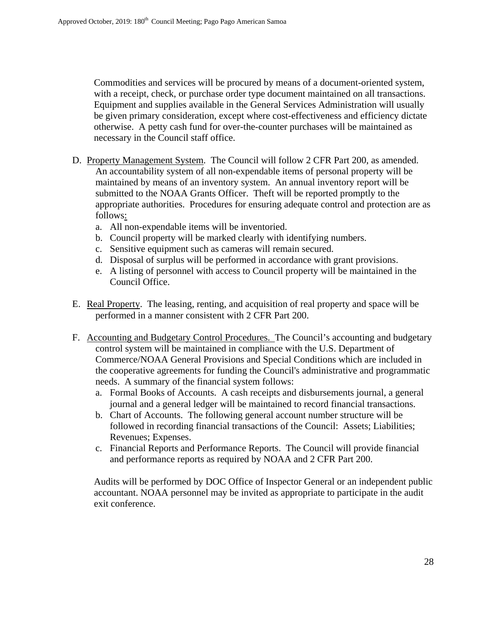Commodities and services will be procured by means of a document-oriented system, with a receipt, check, or purchase order type document maintained on all transactions. Equipment and supplies available in the General Services Administration will usually be given primary consideration, except where cost-effectiveness and efficiency dictate otherwise. A petty cash fund for over-the-counter purchases will be maintained as necessary in the Council staff office.

- D. Property Management System. The Council will follow 2 CFR Part 200, as amended. An accountability system of all non-expendable items of personal property will be maintained by means of an inventory system. An annual inventory report will be submitted to the NOAA Grants Officer. Theft will be reported promptly to the appropriate authorities. Procedures for ensuring adequate control and protection are as follows:
	- a. All non-expendable items will be inventoried.
	- b. Council property will be marked clearly with identifying numbers.
	- c. Sensitive equipment such as cameras will remain secured.
	- d. Disposal of surplus will be performed in accordance with grant provisions.
	- e. A listing of personnel with access to Council property will be maintained in the Council Office.
- E. Real Property. The leasing, renting, and acquisition of real property and space will be performed in a manner consistent with 2 CFR Part 200.
- F. Accounting and Budgetary Control Procedures. The Council's accounting and budgetary control system will be maintained in compliance with the U.S. Department of Commerce/NOAA General Provisions and Special Conditions which are included in the cooperative agreements for funding the Council's administrative and programmatic needs. A summary of the financial system follows:
	- a. Formal Books of Accounts. A cash receipts and disbursements journal, a general journal and a general ledger will be maintained to record financial transactions.
	- b. Chart of Accounts. The following general account number structure will be followed in recording financial transactions of the Council: Assets; Liabilities; Revenues; Expenses.
	- c. Financial Reports and Performance Reports. The Council will provide financial and performance reports as required by NOAA and 2 CFR Part 200.

Audits will be performed by DOC Office of Inspector General or an independent public accountant. NOAA personnel may be invited as appropriate to participate in the audit exit conference.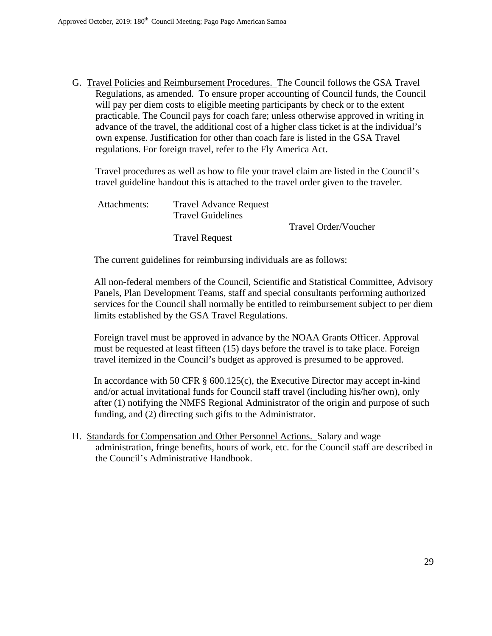G. Travel Policies and Reimbursement Procedures. The Council follows the GSA Travel Regulations, as amended. To ensure proper accounting of Council funds, the Council will pay per diem costs to eligible meeting participants by check or to the extent practicable. The Council pays for coach fare; unless otherwise approved in writing in advance of the travel, the additional cost of a higher class ticket is at the individual's own expense. Justification for other than coach fare is listed in the GSA Travel regulations. For foreign travel, refer to the Fly America Act.

Travel procedures as well as how to file your travel claim are listed in the Council's travel guideline handout this is attached to the travel order given to the traveler.

| Attachments: | <b>Travel Advance Request</b><br><b>Travel Guidelines</b> |                      |
|--------------|-----------------------------------------------------------|----------------------|
|              |                                                           | Travel Order/Voucher |
|              | <b>Travel Request</b>                                     |                      |

The current guidelines for reimbursing individuals are as follows:

All non-federal members of the Council, Scientific and Statistical Committee, Advisory Panels, Plan Development Teams, staff and special consultants performing authorized services for the Council shall normally be entitled to reimbursement subject to per diem limits established by the GSA Travel Regulations.

Foreign travel must be approved in advance by the NOAA Grants Officer. Approval must be requested at least fifteen (15) days before the travel is to take place. Foreign travel itemized in the Council's budget as approved is presumed to be approved.

In accordance with 50 CFR § 600.125(c), the Executive Director may accept in-kind and/or actual invitational funds for Council staff travel (including his/her own), only after (1) notifying the NMFS Regional Administrator of the origin and purpose of such funding, and (2) directing such gifts to the Administrator.

H. Standards for Compensation and Other Personnel Actions. Salary and wage administration, fringe benefits, hours of work, etc. for the Council staff are described in the Council's Administrative Handbook.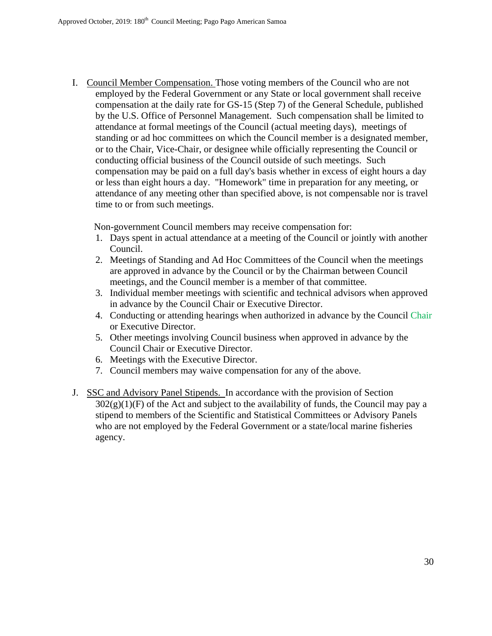I. Council Member Compensation. Those voting members of the Council who are not employed by the Federal Government or any State or local government shall receive compensation at the daily rate for GS-15 (Step 7) of the General Schedule, published by the U.S. Office of Personnel Management. Such compensation shall be limited to attendance at formal meetings of the Council (actual meeting days), meetings of standing or ad hoc committees on which the Council member is a designated member, or to the Chair, Vice-Chair, or designee while officially representing the Council or conducting official business of the Council outside of such meetings. Such compensation may be paid on a full day's basis whether in excess of eight hours a day or less than eight hours a day. "Homework" time in preparation for any meeting, or attendance of any meeting other than specified above, is not compensable nor is travel time to or from such meetings.

Non-government Council members may receive compensation for:

- 1. Days spent in actual attendance at a meeting of the Council or jointly with another Council.
- 2. Meetings of Standing and Ad Hoc Committees of the Council when the meetings are approved in advance by the Council or by the Chairman between Council meetings, and the Council member is a member of that committee.
- 3. Individual member meetings with scientific and technical advisors when approved in advance by the Council Chair or Executive Director.
- 4. Conducting or attending hearings when authorized in advance by the Council Chair or Executive Director.
- 5. Other meetings involving Council business when approved in advance by the Council Chair or Executive Director.
- 6. Meetings with the Executive Director.
- 7. Council members may waive compensation for any of the above.
- J. SSC and Advisory Panel Stipends. In accordance with the provision of Section  $302(g)(1)(F)$  of the Act and subject to the availability of funds, the Council may pay a stipend to members of the Scientific and Statistical Committees or Advisory Panels who are not employed by the Federal Government or a state/local marine fisheries agency.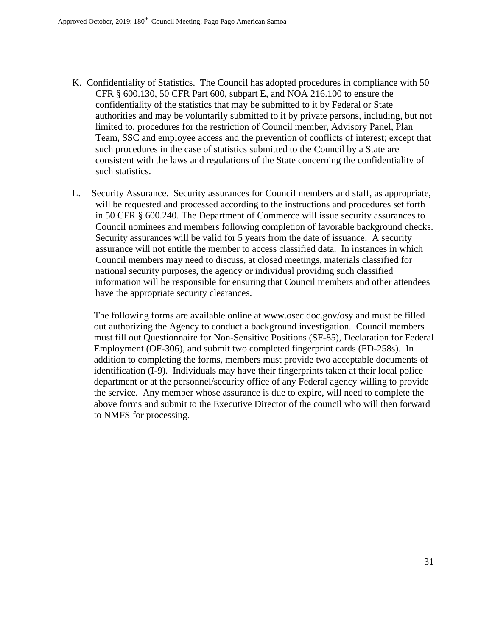- K. Confidentiality of Statistics. The Council has adopted procedures in compliance with 50 CFR § 600.130, 50 CFR Part 600, subpart E, and NOA 216.100 to ensure the confidentiality of the statistics that may be submitted to it by Federal or State authorities and may be voluntarily submitted to it by private persons, including, but not limited to, procedures for the restriction of Council member, Advisory Panel, Plan Team, SSC and employee access and the prevention of conflicts of interest; except that such procedures in the case of statistics submitted to the Council by a State are consistent with the laws and regulations of the State concerning the confidentiality of such statistics.
- L. Security Assurance. Security assurances for Council members and staff, as appropriate, will be requested and processed according to the instructions and procedures set forth in 50 CFR § 600.240. The Department of Commerce will issue security assurances to Council nominees and members following completion of favorable background checks. Security assurances will be valid for 5 years from the date of issuance. A security assurance will not entitle the member to access classified data. In instances in which Council members may need to discuss, at closed meetings, materials classified for national security purposes, the agency or individual providing such classified information will be responsible for ensuring that Council members and other attendees have the appropriate security clearances.

The following forms are available online at www.osec.doc.gov/osy and must be filled out authorizing the Agency to conduct a background investigation. Council members must fill out Questionnaire for Non-Sensitive Positions (SF-85), Declaration for Federal Employment (OF-306), and submit two completed fingerprint cards (FD-258s). In addition to completing the forms, members must provide two acceptable documents of identification (I-9). Individuals may have their fingerprints taken at their local police department or at the personnel/security office of any Federal agency willing to provide the service. Any member whose assurance is due to expire, will need to complete the above forms and submit to the Executive Director of the council who will then forward to NMFS for processing.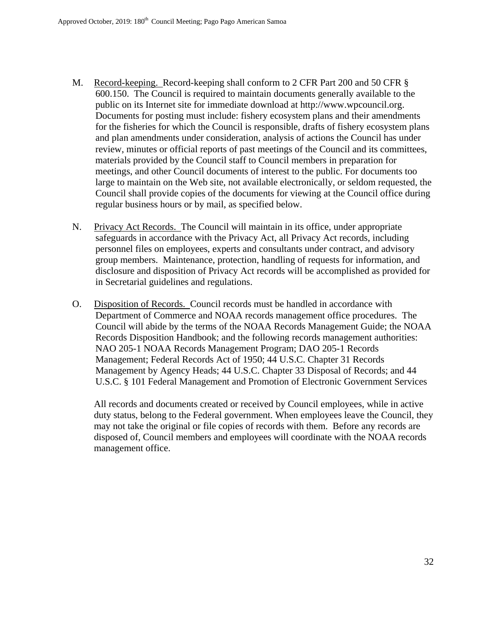- M. Record-keeping. Record-keeping shall conform to 2 CFR Part 200 and 50 CFR § 600.150. The Council is required to maintain documents generally available to the public on its Internet site for immediate download at http://www.wpcouncil.org. Documents for posting must include: fishery ecosystem plans and their amendments for the fisheries for which the Council is responsible, drafts of fishery ecosystem plans and plan amendments under consideration, analysis of actions the Council has under review, minutes or official reports of past meetings of the Council and its committees, materials provided by the Council staff to Council members in preparation for meetings, and other Council documents of interest to the public. For documents too large to maintain on the Web site, not available electronically, or seldom requested, the Council shall provide copies of the documents for viewing at the Council office during regular business hours or by mail, as specified below.
- N. Privacy Act Records. The Council will maintain in its office, under appropriate safeguards in accordance with the Privacy Act, all Privacy Act records, including personnel files on employees, experts and consultants under contract, and advisory group members. Maintenance, protection, handling of requests for information, and disclosure and disposition of Privacy Act records will be accomplished as provided for in Secretarial guidelines and regulations.
- O. Disposition of Records. Council records must be handled in accordance with Department of Commerce and NOAA records management office procedures. The Council will abide by the terms of the NOAA Records Management Guide; the NOAA Records Disposition Handbook; and the following records management authorities: NAO 205-1 NOAA Records Management Program; DAO 205-1 Records Management; Federal Records Act of 1950; 44 U.S.C. Chapter 31 Records Management by Agency Heads; 44 U.S.C. Chapter 33 Disposal of Records; and 44 U.S.C. § 101 Federal Management and Promotion of Electronic Government Services

All records and documents created or received by Council employees, while in active duty status, belong to the Federal government. When employees leave the Council, they may not take the original or file copies of records with them. Before any records are disposed of, Council members and employees will coordinate with the NOAA records management office.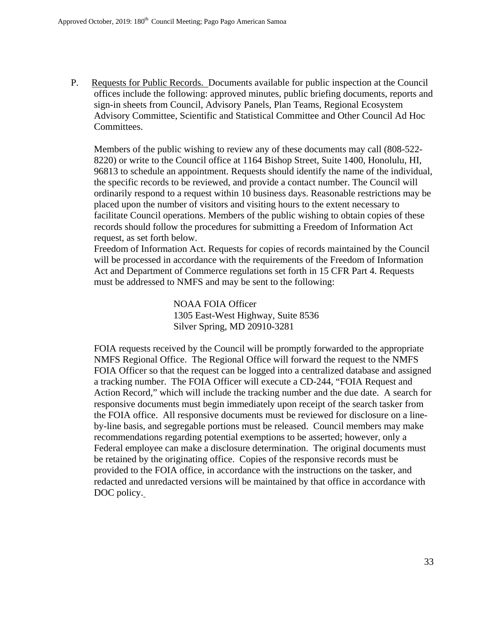P. Requests for Public Records. Documents available for public inspection at the Council offices include the following: approved minutes, public briefing documents, reports and sign-in sheets from Council, Advisory Panels, Plan Teams, Regional Ecosystem Advisory Committee, Scientific and Statistical Committee and Other Council Ad Hoc Committees.

Members of the public wishing to review any of these documents may call (808-522- 8220) or write to the Council office at 1164 Bishop Street, Suite 1400, Honolulu, HI, 96813 to schedule an appointment. Requests should identify the name of the individual, the specific records to be reviewed, and provide a contact number. The Council will ordinarily respond to a request within 10 business days. Reasonable restrictions may be placed upon the number of visitors and visiting hours to the extent necessary to facilitate Council operations. Members of the public wishing to obtain copies of these records should follow the procedures for submitting a Freedom of Information Act request, as set forth below.

Freedom of Information Act. Requests for copies of records maintained by the Council will be processed in accordance with the requirements of the Freedom of Information Act and Department of Commerce regulations set forth in 15 CFR Part 4. Requests must be addressed to NMFS and may be sent to the following:

> NOAA FOIA Officer 1305 East-West Highway, Suite 8536 Silver Spring, MD 20910-3281

FOIA requests received by the Council will be promptly forwarded to the appropriate NMFS Regional Office. The Regional Office will forward the request to the NMFS FOIA Officer so that the request can be logged into a centralized database and assigned a tracking number. The FOIA Officer will execute a CD-244, "FOIA Request and Action Record," which will include the tracking number and the due date. A search for responsive documents must begin immediately upon receipt of the search tasker from the FOIA office. All responsive documents must be reviewed for disclosure on a lineby-line basis, and segregable portions must be released. Council members may make recommendations regarding potential exemptions to be asserted; however, only a Federal employee can make a disclosure determination. The original documents must be retained by the originating office. Copies of the responsive records must be provided to the FOIA office, in accordance with the instructions on the tasker, and redacted and unredacted versions will be maintained by that office in accordance with DOC policy.